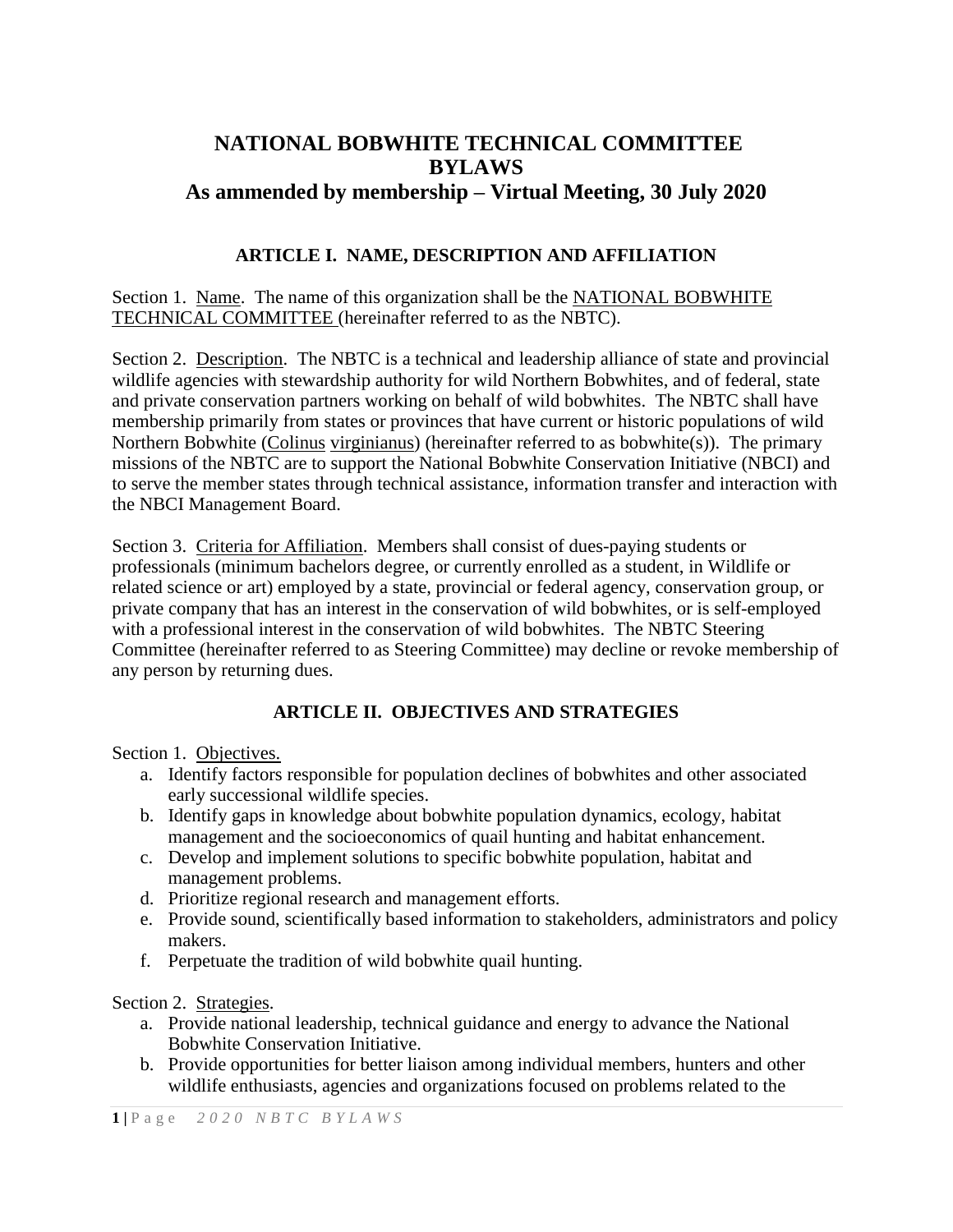# **NATIONAL BOBWHITE TECHNICAL COMMITTEE BYLAWS As ammended by membership – Virtual Meeting, 30 July 2020**

# **ARTICLE I. NAME, DESCRIPTION AND AFFILIATION**

Section 1. Name. The name of this organization shall be the NATIONAL BOBWHITE TECHNICAL COMMITTEE (hereinafter referred to as the NBTC).

Section 2. Description. The NBTC is a technical and leadership alliance of state and provincial wildlife agencies with stewardship authority for wild Northern Bobwhites, and of federal, state and private conservation partners working on behalf of wild bobwhites. The NBTC shall have membership primarily from states or provinces that have current or historic populations of wild Northern Bobwhite (Colinus virginianus) (hereinafter referred to as bobwhite(s)). The primary missions of the NBTC are to support the National Bobwhite Conservation Initiative (NBCI) and to serve the member states through technical assistance, information transfer and interaction with the NBCI Management Board.

Section 3. Criteria for Affiliation. Members shall consist of dues-paying students or professionals (minimum bachelors degree, or currently enrolled as a student, in Wildlife or related science or art) employed by a state, provincial or federal agency, conservation group, or private company that has an interest in the conservation of wild bobwhites, or is self-employed with a professional interest in the conservation of wild bobwhites. The NBTC Steering Committee (hereinafter referred to as Steering Committee) may decline or revoke membership of any person by returning dues.

# **ARTICLE II. OBJECTIVES AND STRATEGIES**

Section 1. Objectives.

- a. Identify factors responsible for population declines of bobwhites and other associated early successional wildlife species.
- b. Identify gaps in knowledge about bobwhite population dynamics, ecology, habitat management and the socioeconomics of quail hunting and habitat enhancement.
- c. Develop and implement solutions to specific bobwhite population, habitat and management problems.
- d. Prioritize regional research and management efforts.
- e. Provide sound, scientifically based information to stakeholders, administrators and policy makers.
- f. Perpetuate the tradition of wild bobwhite quail hunting.

# Section 2. Strategies.

- a. Provide national leadership, technical guidance and energy to advance the National Bobwhite Conservation Initiative.
- b. Provide opportunities for better liaison among individual members, hunters and other wildlife enthusiasts, agencies and organizations focused on problems related to the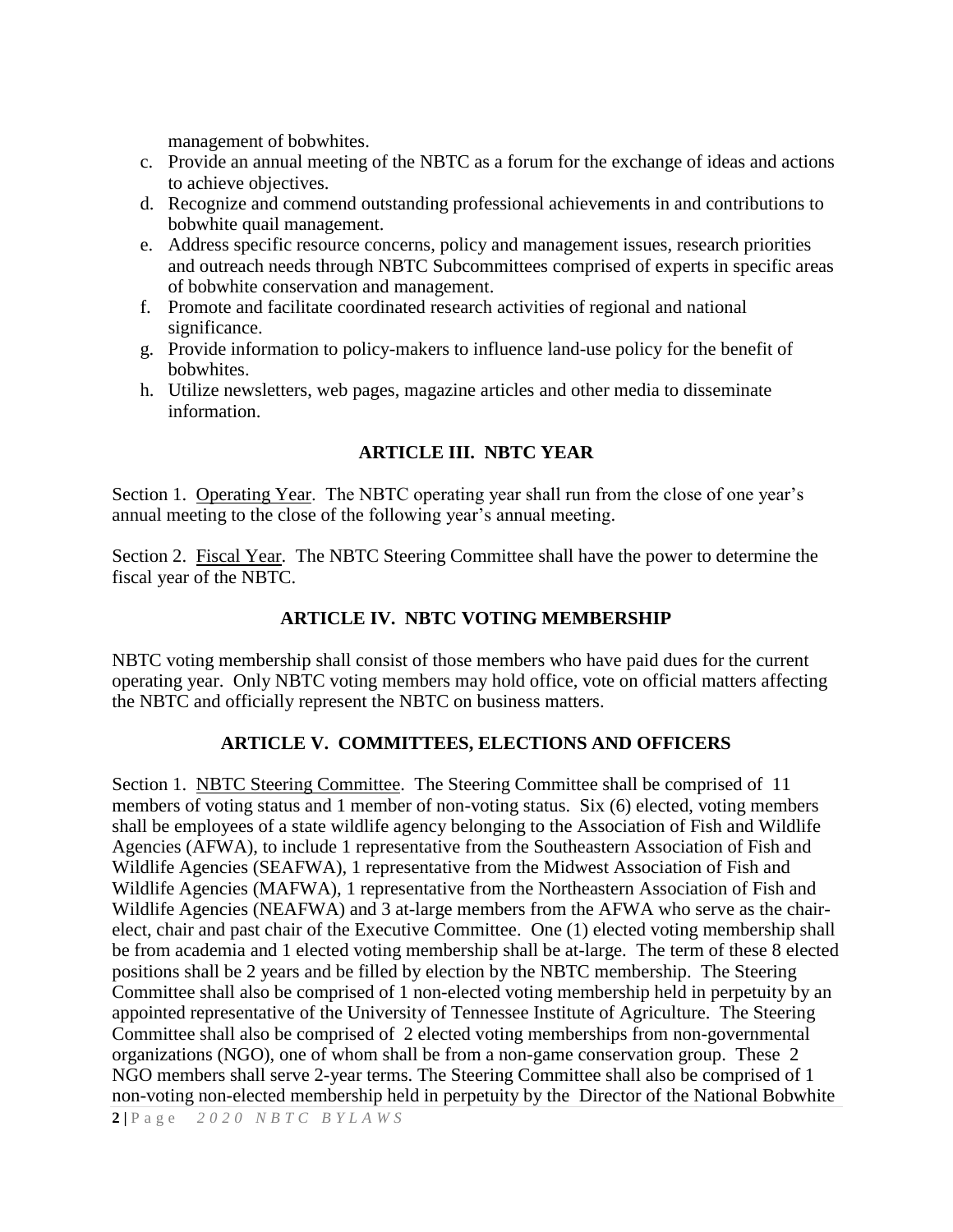management of bobwhites.

- c. Provide an annual meeting of the NBTC as a forum for the exchange of ideas and actions to achieve objectives.
- d. Recognize and commend outstanding professional achievements in and contributions to bobwhite quail management.
- e. Address specific resource concerns, policy and management issues, research priorities and outreach needs through NBTC Subcommittees comprised of experts in specific areas of bobwhite conservation and management.
- f. Promote and facilitate coordinated research activities of regional and national significance.
- g. Provide information to policy-makers to influence land-use policy for the benefit of bobwhites.
- h. Utilize newsletters, web pages, magazine articles and other media to disseminate information.

# **ARTICLE III. NBTC YEAR**

Section 1. Operating Year. The NBTC operating year shall run from the close of one year's annual meeting to the close of the following year's annual meeting.

Section 2. Fiscal Year. The NBTC Steering Committee shall have the power to determine the fiscal year of the NBTC.

# **ARTICLE IV. NBTC VOTING MEMBERSHIP**

NBTC voting membership shall consist of those members who have paid dues for the current operating year. Only NBTC voting members may hold office, vote on official matters affecting the NBTC and officially represent the NBTC on business matters.

# **ARTICLE V. COMMITTEES, ELECTIONS AND OFFICERS**

Section 1. NBTC Steering Committee. The Steering Committee shall be comprised of 11 members of voting status and 1 member of non-voting status. Six (6) elected, voting members shall be employees of a state wildlife agency belonging to the Association of Fish and Wildlife Agencies (AFWA), to include 1 representative from the Southeastern Association of Fish and Wildlife Agencies (SEAFWA), 1 representative from the Midwest Association of Fish and Wildlife Agencies (MAFWA), 1 representative from the Northeastern Association of Fish and Wildlife Agencies (NEAFWA) and 3 at-large members from the AFWA who serve as the chairelect, chair and past chair of the Executive Committee. One (1) elected voting membership shall be from academia and 1 elected voting membership shall be at-large. The term of these 8 elected positions shall be 2 years and be filled by election by the NBTC membership. The Steering Committee shall also be comprised of 1 non-elected voting membership held in perpetuity by an appointed representative of the University of Tennessee Institute of Agriculture. The Steering Committee shall also be comprised of 2 elected voting memberships from non-governmental organizations (NGO), one of whom shall be from a non-game conservation group. These 2 NGO members shall serve 2-year terms. The Steering Committee shall also be comprised of 1 non-voting non-elected membership held in perpetuity by the Director of the National Bobwhite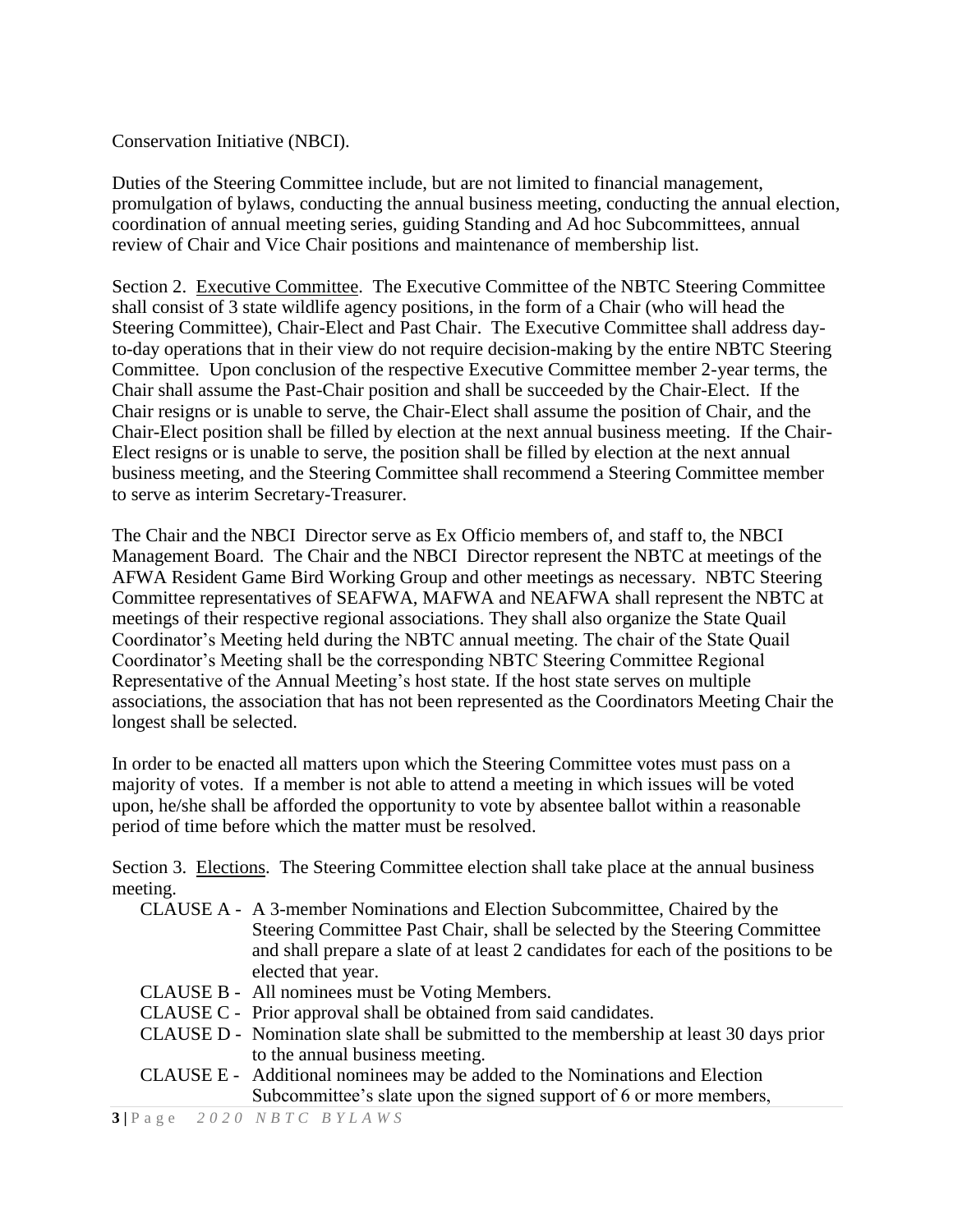#### Conservation Initiative (NBCI).

Duties of the Steering Committee include, but are not limited to financial management, promulgation of bylaws, conducting the annual business meeting, conducting the annual election, coordination of annual meeting series, guiding Standing and Ad hoc Subcommittees, annual review of Chair and Vice Chair positions and maintenance of membership list.

Section 2. Executive Committee. The Executive Committee of the NBTC Steering Committee shall consist of 3 state wildlife agency positions, in the form of a Chair (who will head the Steering Committee), Chair-Elect and Past Chair. The Executive Committee shall address dayto-day operations that in their view do not require decision-making by the entire NBTC Steering Committee. Upon conclusion of the respective Executive Committee member 2-year terms, the Chair shall assume the Past-Chair position and shall be succeeded by the Chair-Elect. If the Chair resigns or is unable to serve, the Chair-Elect shall assume the position of Chair, and the Chair-Elect position shall be filled by election at the next annual business meeting. If the Chair-Elect resigns or is unable to serve, the position shall be filled by election at the next annual business meeting, and the Steering Committee shall recommend a Steering Committee member to serve as interim Secretary-Treasurer.

The Chair and the NBCI Director serve as Ex Officio members of, and staff to, the NBCI Management Board. The Chair and the NBCI Director represent the NBTC at meetings of the AFWA Resident Game Bird Working Group and other meetings as necessary. NBTC Steering Committee representatives of SEAFWA, MAFWA and NEAFWA shall represent the NBTC at meetings of their respective regional associations. They shall also organize the State Quail Coordinator's Meeting held during the NBTC annual meeting. The chair of the State Quail Coordinator's Meeting shall be the corresponding NBTC Steering Committee Regional Representative of the Annual Meeting's host state. If the host state serves on multiple associations, the association that has not been represented as the Coordinators Meeting Chair the longest shall be selected.

In order to be enacted all matters upon which the Steering Committee votes must pass on a majority of votes. If a member is not able to attend a meeting in which issues will be voted upon, he/she shall be afforded the opportunity to vote by absentee ballot within a reasonable period of time before which the matter must be resolved.

Section 3. Elections. The Steering Committee election shall take place at the annual business meeting.

- CLAUSE A A 3-member Nominations and Election Subcommittee, Chaired by the Steering Committee Past Chair, shall be selected by the Steering Committee and shall prepare a slate of at least 2 candidates for each of the positions to be elected that year.
- CLAUSE B All nominees must be Voting Members.
- CLAUSE C Prior approval shall be obtained from said candidates.
- CLAUSE D Nomination slate shall be submitted to the membership at least 30 days prior to the annual business meeting.
- CLAUSE E Additional nominees may be added to the Nominations and Election Subcommittee's slate upon the signed support of 6 or more members,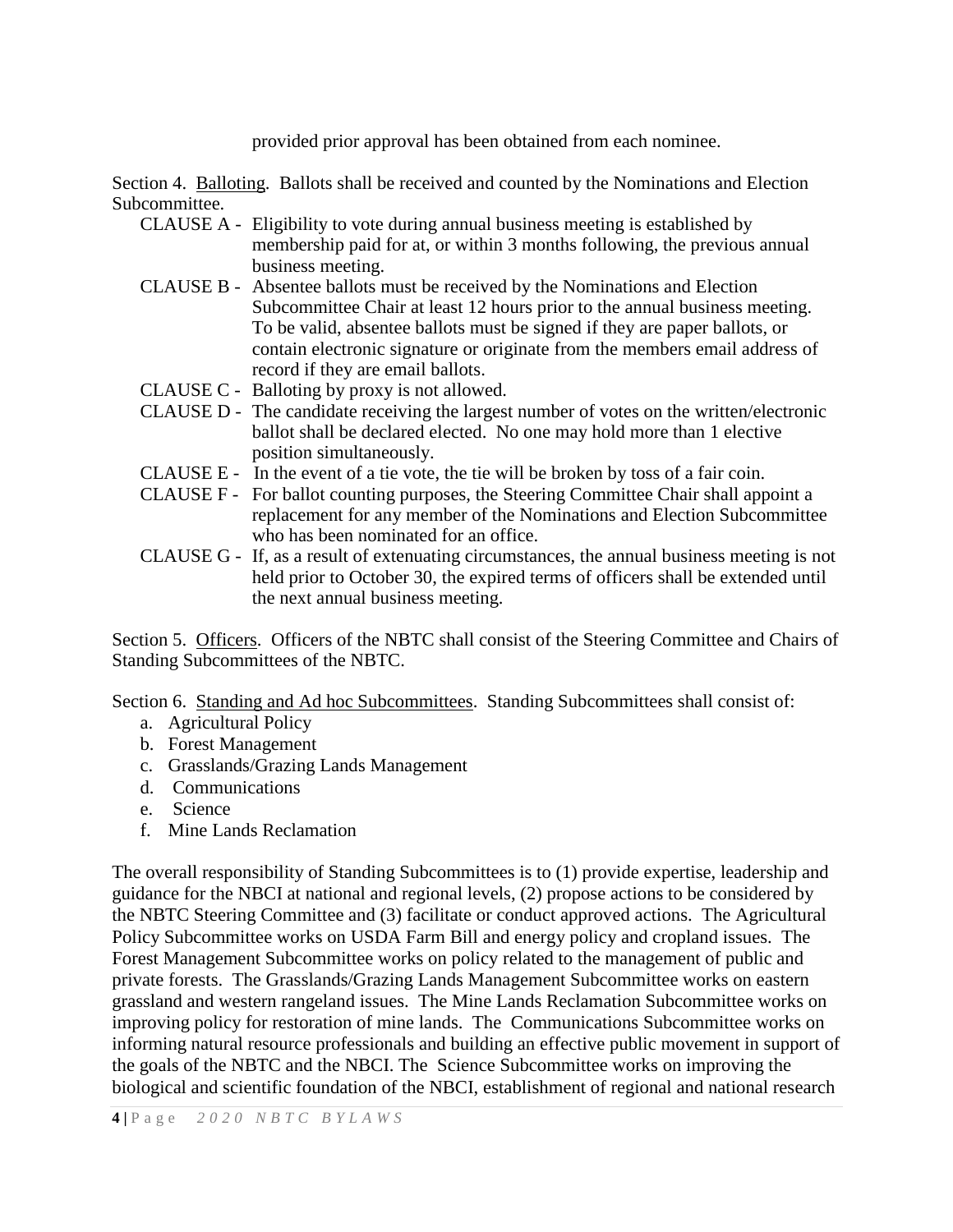provided prior approval has been obtained from each nominee.

Section 4. Balloting. Ballots shall be received and counted by the Nominations and Election Subcommittee.

- CLAUSE A Eligibility to vote during annual business meeting is established by membership paid for at, or within 3 months following, the previous annual business meeting.
- CLAUSE B Absentee ballots must be received by the Nominations and Election Subcommittee Chair at least 12 hours prior to the annual business meeting. To be valid, absentee ballots must be signed if they are paper ballots, or contain electronic signature or originate from the members email address of record if they are email ballots.
- CLAUSE C Balloting by proxy is not allowed.
- CLAUSE D The candidate receiving the largest number of votes on the written/electronic ballot shall be declared elected. No one may hold more than 1 elective position simultaneously.
- CLAUSE E In the event of a tie vote, the tie will be broken by toss of a fair coin.
- CLAUSE F For ballot counting purposes, the Steering Committee Chair shall appoint a replacement for any member of the Nominations and Election Subcommittee who has been nominated for an office.
- CLAUSE G If, as a result of extenuating circumstances, the annual business meeting is not held prior to October 30, the expired terms of officers shall be extended until the next annual business meeting.

Section 5. Officers. Officers of the NBTC shall consist of the Steering Committee and Chairs of Standing Subcommittees of the NBTC.

Section 6. Standing and Ad hoc Subcommittees. Standing Subcommittees shall consist of:

- a. Agricultural Policy
- b. Forest Management
- c. Grasslands/Grazing Lands Management
- d. Communications
- e. Science
- f. Mine Lands Reclamation

The overall responsibility of Standing Subcommittees is to (1) provide expertise, leadership and guidance for the NBCI at national and regional levels, (2) propose actions to be considered by the NBTC Steering Committee and (3) facilitate or conduct approved actions. The Agricultural Policy Subcommittee works on USDA Farm Bill and energy policy and cropland issues. The Forest Management Subcommittee works on policy related to the management of public and private forests. The Grasslands/Grazing Lands Management Subcommittee works on eastern grassland and western rangeland issues. The Mine Lands Reclamation Subcommittee works on improving policy for restoration of mine lands. The Communications Subcommittee works on informing natural resource professionals and building an effective public movement in support of the goals of the NBTC and the NBCI. The Science Subcommittee works on improving the biological and scientific foundation of the NBCI, establishment of regional and national research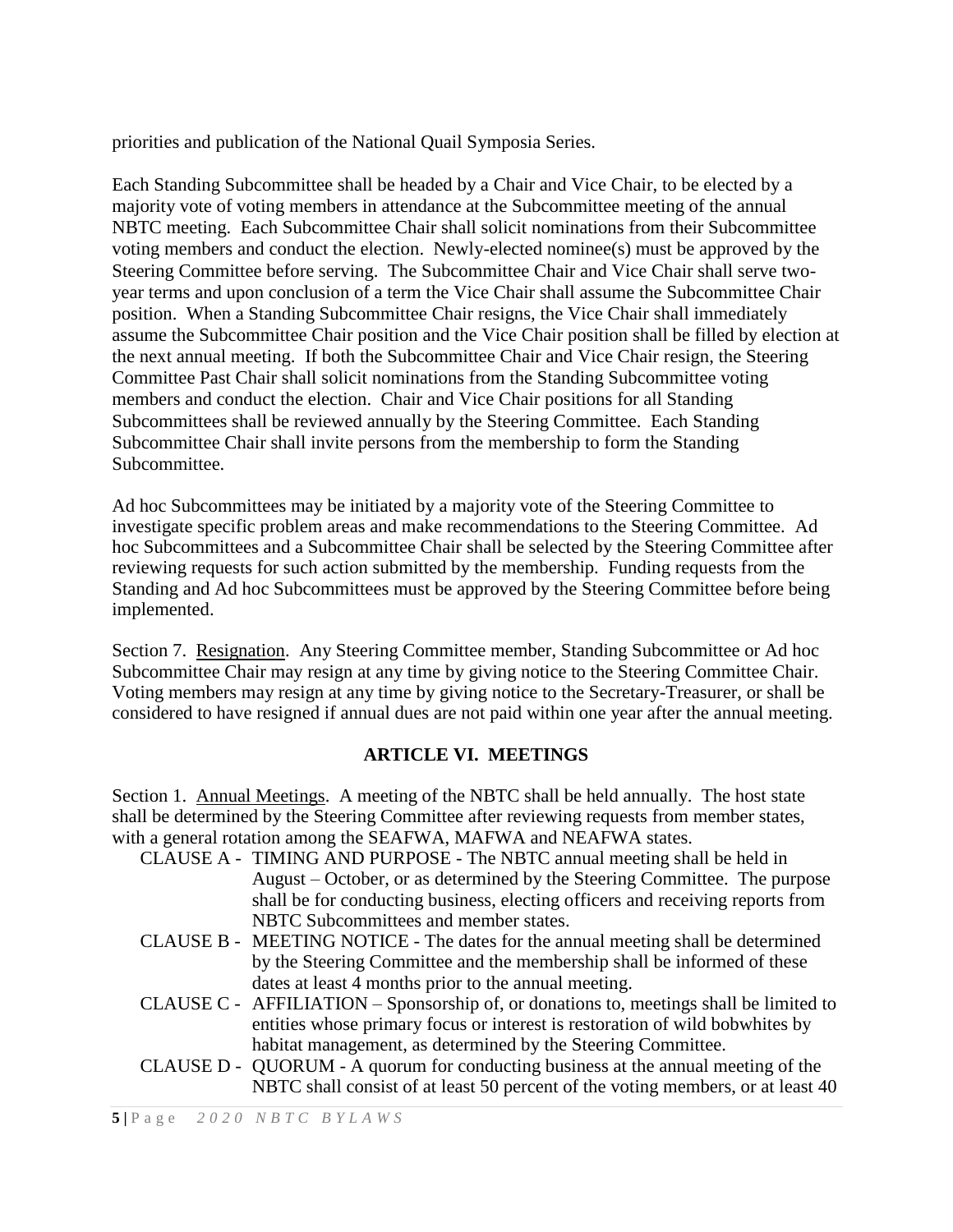priorities and publication of the National Quail Symposia Series.

Each Standing Subcommittee shall be headed by a Chair and Vice Chair, to be elected by a majority vote of voting members in attendance at the Subcommittee meeting of the annual NBTC meeting. Each Subcommittee Chair shall solicit nominations from their Subcommittee voting members and conduct the election. Newly-elected nominee(s) must be approved by the Steering Committee before serving. The Subcommittee Chair and Vice Chair shall serve twoyear terms and upon conclusion of a term the Vice Chair shall assume the Subcommittee Chair position. When a Standing Subcommittee Chair resigns, the Vice Chair shall immediately assume the Subcommittee Chair position and the Vice Chair position shall be filled by election at the next annual meeting. If both the Subcommittee Chair and Vice Chair resign, the Steering Committee Past Chair shall solicit nominations from the Standing Subcommittee voting members and conduct the election. Chair and Vice Chair positions for all Standing Subcommittees shall be reviewed annually by the Steering Committee. Each Standing Subcommittee Chair shall invite persons from the membership to form the Standing Subcommittee.

Ad hoc Subcommittees may be initiated by a majority vote of the Steering Committee to investigate specific problem areas and make recommendations to the Steering Committee. Ad hoc Subcommittees and a Subcommittee Chair shall be selected by the Steering Committee after reviewing requests for such action submitted by the membership. Funding requests from the Standing and Ad hoc Subcommittees must be approved by the Steering Committee before being implemented.

Section 7. Resignation. Any Steering Committee member, Standing Subcommittee or Ad hoc Subcommittee Chair may resign at any time by giving notice to the Steering Committee Chair. Voting members may resign at any time by giving notice to the Secretary-Treasurer, or shall be considered to have resigned if annual dues are not paid within one year after the annual meeting.

# **ARTICLE VI. MEETINGS**

Section 1. Annual Meetings. A meeting of the NBTC shall be held annually. The host state shall be determined by the Steering Committee after reviewing requests from member states, with a general rotation among the SEAFWA, MAFWA and NEAFWA states.

- CLAUSE A TIMING AND PURPOSE The NBTC annual meeting shall be held in August – October, or as determined by the Steering Committee. The purpose shall be for conducting business, electing officers and receiving reports from NBTC Subcommittees and member states.
- CLAUSE B MEETING NOTICE The dates for the annual meeting shall be determined by the Steering Committee and the membership shall be informed of these dates at least 4 months prior to the annual meeting.
- CLAUSE C AFFILIATION Sponsorship of, or donations to, meetings shall be limited to entities whose primary focus or interest is restoration of wild bobwhites by habitat management, as determined by the Steering Committee.
- CLAUSE D QUORUM A quorum for conducting business at the annual meeting of the NBTC shall consist of at least 50 percent of the voting members, or at least 40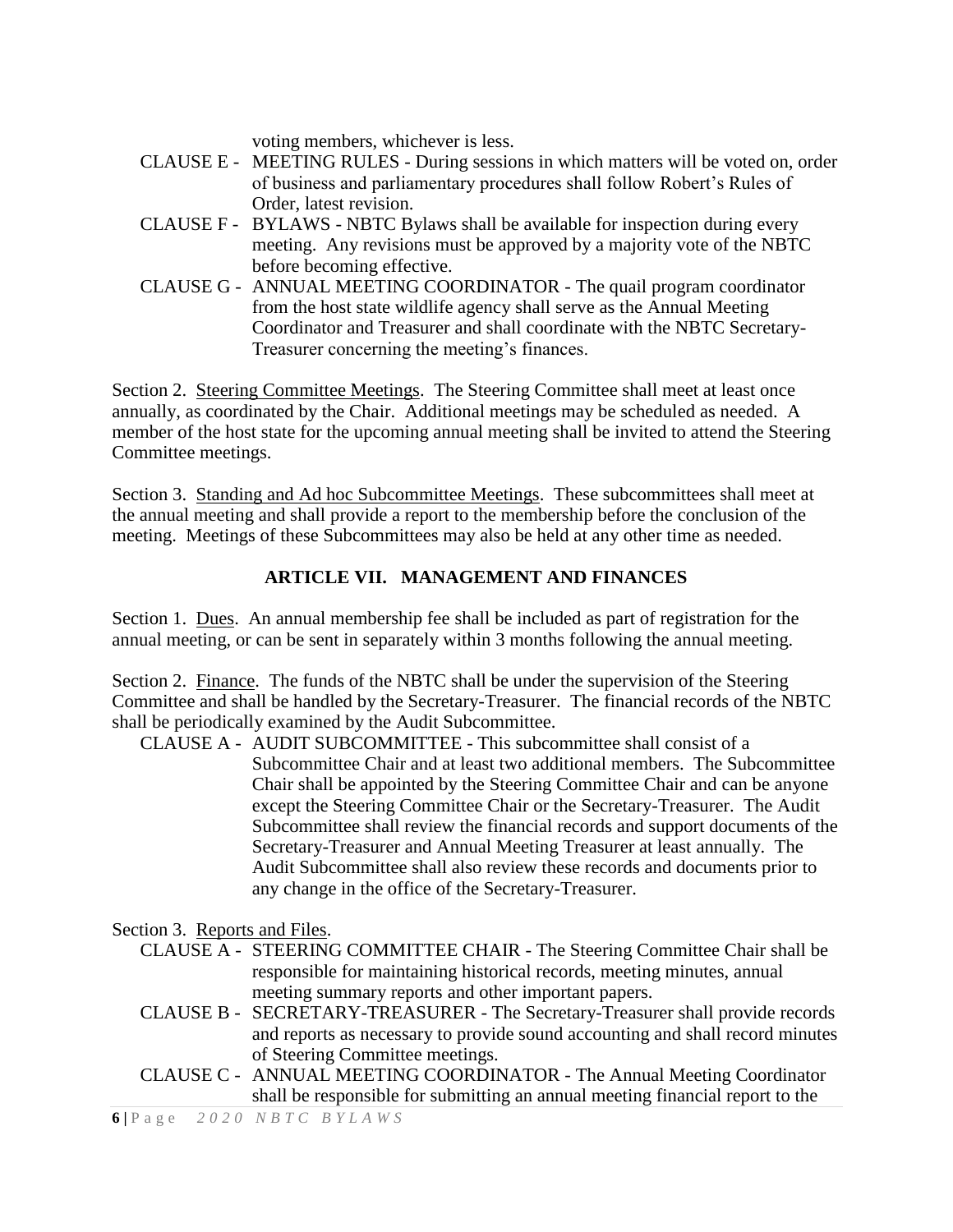voting members, whichever is less.

- CLAUSE E MEETING RULES During sessions in which matters will be voted on, order of business and parliamentary procedures shall follow Robert's Rules of Order, latest revision.
- CLAUSE F BYLAWS NBTC Bylaws shall be available for inspection during every meeting. Any revisions must be approved by a majority vote of the NBTC before becoming effective.
- CLAUSE G ANNUAL MEETING COORDINATOR The quail program coordinator from the host state wildlife agency shall serve as the Annual Meeting Coordinator and Treasurer and shall coordinate with the NBTC Secretary-Treasurer concerning the meeting's finances.

Section 2. Steering Committee Meetings. The Steering Committee shall meet at least once annually, as coordinated by the Chair. Additional meetings may be scheduled as needed. A member of the host state for the upcoming annual meeting shall be invited to attend the Steering Committee meetings.

Section 3. Standing and Ad hoc Subcommittee Meetings. These subcommittees shall meet at the annual meeting and shall provide a report to the membership before the conclusion of the meeting. Meetings of these Subcommittees may also be held at any other time as needed.

# **ARTICLE VII. MANAGEMENT AND FINANCES**

Section 1. Dues. An annual membership fee shall be included as part of registration for the annual meeting, or can be sent in separately within 3 months following the annual meeting.

Section 2. Finance. The funds of the NBTC shall be under the supervision of the Steering Committee and shall be handled by the Secretary-Treasurer. The financial records of the NBTC shall be periodically examined by the Audit Subcommittee.

CLAUSE A - AUDIT SUBCOMMITTEE - This subcommittee shall consist of a Subcommittee Chair and at least two additional members. The Subcommittee Chair shall be appointed by the Steering Committee Chair and can be anyone except the Steering Committee Chair or the Secretary-Treasurer. The Audit Subcommittee shall review the financial records and support documents of the Secretary-Treasurer and Annual Meeting Treasurer at least annually. The Audit Subcommittee shall also review these records and documents prior to any change in the office of the Secretary-Treasurer.

Section 3. Reports and Files.

- CLAUSE A STEERING COMMITTEE CHAIR The Steering Committee Chair shall be responsible for maintaining historical records, meeting minutes, annual meeting summary reports and other important papers.
- CLAUSE B SECRETARY-TREASURER The Secretary-Treasurer shall provide records and reports as necessary to provide sound accounting and shall record minutes of Steering Committee meetings.
- CLAUSE C ANNUAL MEETING COORDINATOR The Annual Meeting Coordinator shall be responsible for submitting an annual meeting financial report to the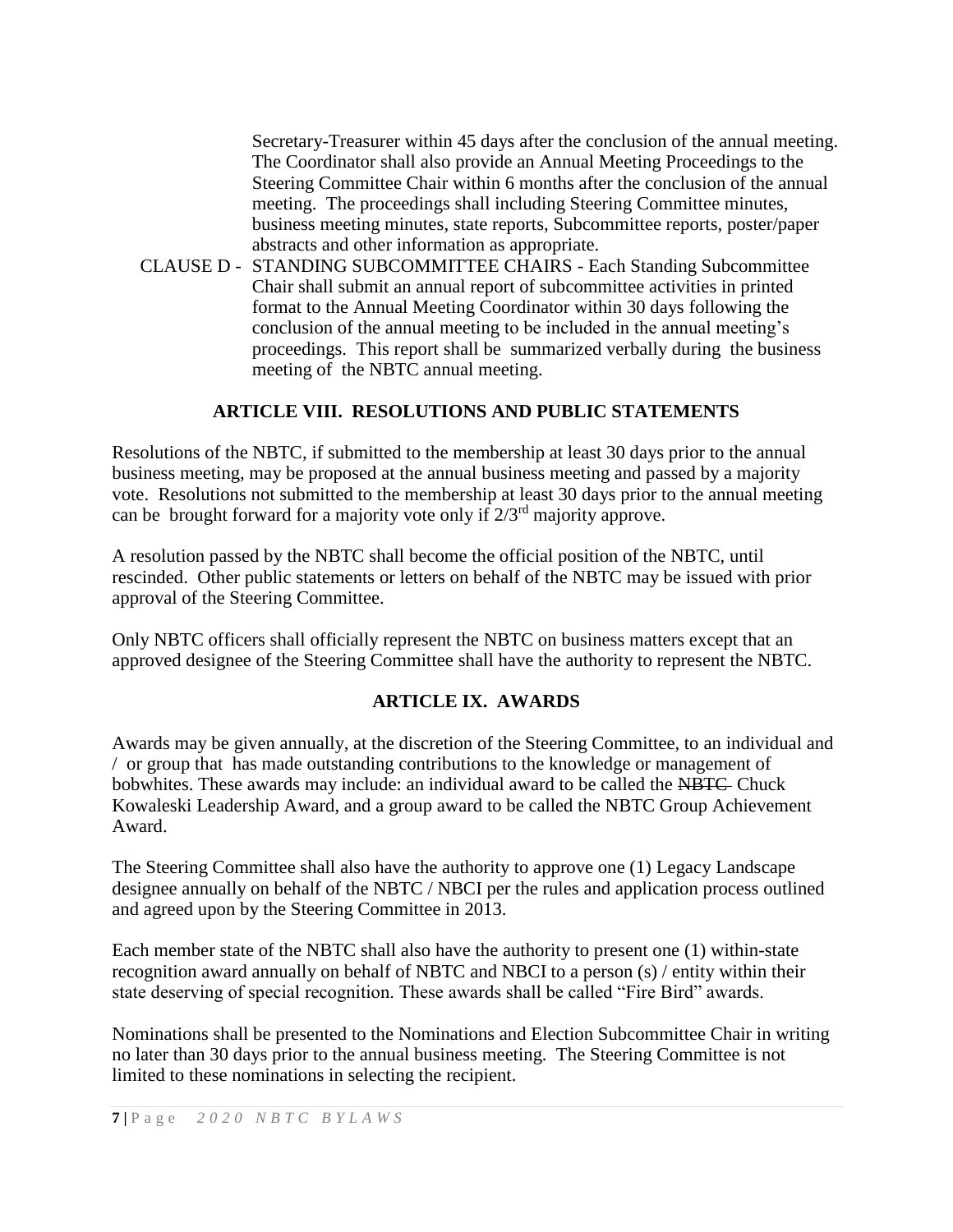Secretary-Treasurer within 45 days after the conclusion of the annual meeting. The Coordinator shall also provide an Annual Meeting Proceedings to the Steering Committee Chair within 6 months after the conclusion of the annual meeting. The proceedings shall including Steering Committee minutes, business meeting minutes, state reports, Subcommittee reports, poster/paper abstracts and other information as appropriate.

CLAUSE D - STANDING SUBCOMMITTEE CHAIRS - Each Standing Subcommittee Chair shall submit an annual report of subcommittee activities in printed format to the Annual Meeting Coordinator within 30 days following the conclusion of the annual meeting to be included in the annual meeting's proceedings. This report shall be summarized verbally during the business meeting of the NBTC annual meeting.

# **ARTICLE VIII. RESOLUTIONS AND PUBLIC STATEMENTS**

Resolutions of the NBTC, if submitted to the membership at least 30 days prior to the annual business meeting, may be proposed at the annual business meeting and passed by a majority vote. Resolutions not submitted to the membership at least 30 days prior to the annual meeting can be brought forward for a majority vote only if  $2/3<sup>rd</sup>$  majority approve.

A resolution passed by the NBTC shall become the official position of the NBTC, until rescinded. Other public statements or letters on behalf of the NBTC may be issued with prior approval of the Steering Committee.

Only NBTC officers shall officially represent the NBTC on business matters except that an approved designee of the Steering Committee shall have the authority to represent the NBTC.

# **ARTICLE IX. AWARDS**

Awards may be given annually, at the discretion of the Steering Committee, to an individual and / or group that has made outstanding contributions to the knowledge or management of bobwhites. These awards may include: an individual award to be called the NBTC Chuck Kowaleski Leadership Award, and a group award to be called the NBTC Group Achievement Award.

The Steering Committee shall also have the authority to approve one (1) Legacy Landscape designee annually on behalf of the NBTC / NBCI per the rules and application process outlined and agreed upon by the Steering Committee in 2013.

Each member state of the NBTC shall also have the authority to present one (1) within-state recognition award annually on behalf of NBTC and NBCI to a person (s) / entity within their state deserving of special recognition. These awards shall be called "Fire Bird" awards.

Nominations shall be presented to the Nominations and Election Subcommittee Chair in writing no later than 30 days prior to the annual business meeting. The Steering Committee is not limited to these nominations in selecting the recipient.